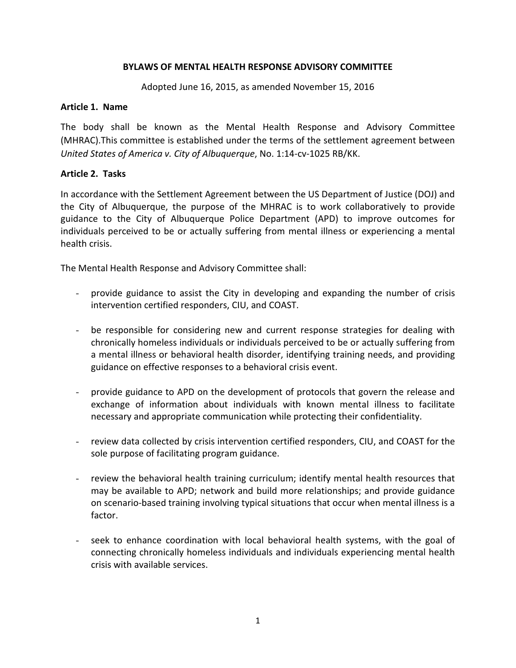### **BYLAWS OF MENTAL HEALTH RESPONSE ADVISORY COMMITTEE**

Adopted June 16, 2015, as amended November 15, 2016

#### **Article 1. Name**

The body shall be known as the Mental Health Response and Advisory Committee (MHRAC).This committee is established under the terms of the settlement agreement between *United States of America v. City of Albuquerque*, No. 1:14-cv-1025 RB/KK.

### **Article 2. Tasks**

In accordance with the Settlement Agreement between the US Department of Justice (DOJ) and the City of Albuquerque, the purpose of the MHRAC is to work collaboratively to provide guidance to the City of Albuquerque Police Department (APD) to improve outcomes for individuals perceived to be or actually suffering from mental illness or experiencing a mental health crisis.

The Mental Health Response and Advisory Committee shall:

- provide guidance to assist the City in developing and expanding the number of crisis intervention certified responders, CIU, and COAST.
- be responsible for considering new and current response strategies for dealing with chronically homeless individuals or individuals perceived to be or actually suffering from a mental illness or behavioral health disorder, identifying training needs, and providing guidance on effective responses to a behavioral crisis event.
- provide guidance to APD on the development of protocols that govern the release and exchange of information about individuals with known mental illness to facilitate necessary and appropriate communication while protecting their confidentiality.
- review data collected by crisis intervention certified responders, CIU, and COAST for the sole purpose of facilitating program guidance.
- review the behavioral health training curriculum; identify mental health resources that may be available to APD; network and build more relationships; and provide guidance on scenario-based training involving typical situations that occur when mental illness is a factor.
- seek to enhance coordination with local behavioral health systems, with the goal of connecting chronically homeless individuals and individuals experiencing mental health crisis with available services.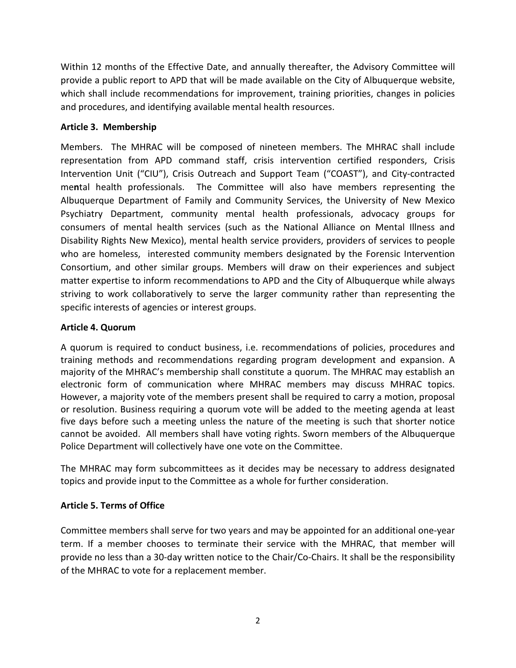Within 12 months of the Effective Date, and annually thereafter, the Advisory Committee will provide a public report to APD that will be made available on the City of Albuquerque website, which shall include recommendations for improvement, training priorities, changes in policies and procedures, and identifying available mental health resources.

## **Article 3. Membership**

Members. The MHRAC will be composed of nineteen members. The MHRAC shall include representation from APD command staff, crisis intervention certified responders, Crisis Intervention Unit ("CIU"), Crisis Outreach and Support Team ("COAST"), and City-contracted me**n**tal health professionals. The Committee will also have members representing the Albuquerque Department of Family and Community Services, the University of New Mexico Psychiatry Department, community mental health professionals, advocacy groups for consumers of mental health services (such as the National Alliance on Mental Illness and Disability Rights New Mexico), mental health service providers, providers of services to people who are homeless, interested community members designated by the Forensic Intervention Consortium, and other similar groups. Members will draw on their experiences and subject matter expertise to inform recommendations to APD and the City of Albuquerque while always striving to work collaboratively to serve the larger community rather than representing the specific interests of agencies or interest groups.

## **Article 4. Quorum**

A quorum is required to conduct business, i.e. recommendations of policies, procedures and training methods and recommendations regarding program development and expansion. A majority of the MHRAC's membership shall constitute a quorum. The MHRAC may establish an electronic form of communication where MHRAC members may discuss MHRAC topics. However, a majority vote of the members present shall be required to carry a motion, proposal or resolution. Business requiring a quorum vote will be added to the meeting agenda at least five days before such a meeting unless the nature of the meeting is such that shorter notice cannot be avoided. All members shall have voting rights. Sworn members of the Albuquerque Police Department will collectively have one vote on the Committee.

The MHRAC may form subcommittees as it decides may be necessary to address designated topics and provide input to the Committee as a whole for further consideration.

## **Article 5. Terms of Office**

Committee members shall serve for two years and may be appointed for an additional one-year term. If a member chooses to terminate their service with the MHRAC, that member will provide no less than a 30-day written notice to the Chair/Co-Chairs. It shall be the responsibility of the MHRAC to vote for a replacement member.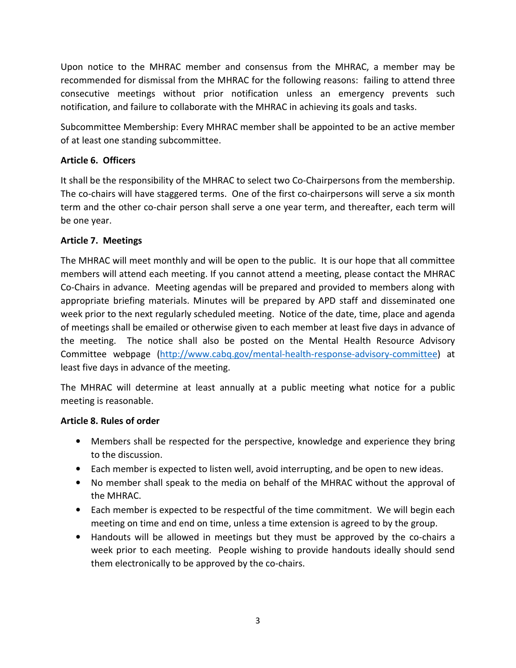Upon notice to the MHRAC member and consensus from the MHRAC, a member may be recommended for dismissal from the MHRAC for the following reasons: failing to attend three consecutive meetings without prior notification unless an emergency prevents such notification, and failure to collaborate with the MHRAC in achieving its goals and tasks.

Subcommittee Membership: Every MHRAC member shall be appointed to be an active member of at least one standing subcommittee.

# **Article 6. Officers**

It shall be the responsibility of the MHRAC to select two Co-Chairpersons from the membership. The co-chairs will have staggered terms. One of the first co-chairpersons will serve a six month term and the other co-chair person shall serve a one year term, and thereafter, each term will be one year.

## **Article 7. Meetings**

The MHRAC will meet monthly and will be open to the public. It is our hope that all committee members will attend each meeting. If you cannot attend a meeting, please contact the MHRAC Co-Chairs in advance. Meeting agendas will be prepared and provided to members along with appropriate briefing materials. Minutes will be prepared by APD staff and disseminated one week prior to the next regularly scheduled meeting. Notice of the date, time, place and agenda of meetings shall be emailed or otherwise given to each member at least five days in advance of the meeting. The notice shall also be posted on the Mental Health Resource Advisory Committee webpage (http://www.cabq.gov/mental-health-response-advisory-committee) at least five days in advance of the meeting.

The MHRAC will determine at least annually at a public meeting what notice for a public meeting is reasonable.

## **Article 8. Rules of order**

- Members shall be respected for the perspective, knowledge and experience they bring to the discussion.
- Each member is expected to listen well, avoid interrupting, and be open to new ideas.
- No member shall speak to the media on behalf of the MHRAC without the approval of the MHRAC.
- Each member is expected to be respectful of the time commitment. We will begin each meeting on time and end on time, unless a time extension is agreed to by the group.
- Handouts will be allowed in meetings but they must be approved by the co-chairs a week prior to each meeting. People wishing to provide handouts ideally should send them electronically to be approved by the co-chairs.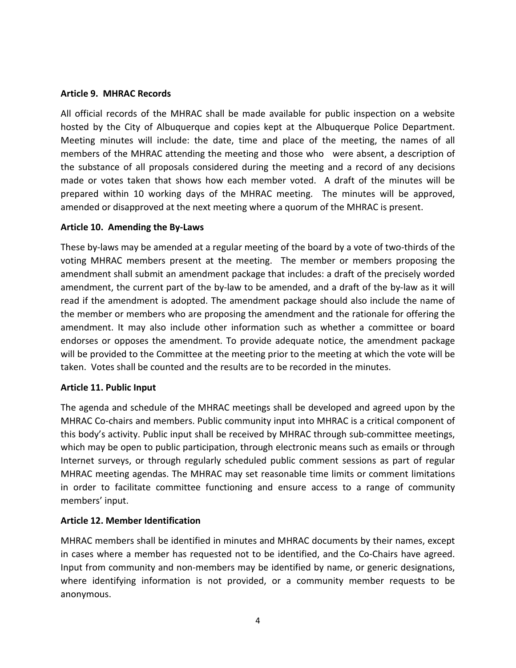#### **Article 9. MHRAC Records**

All official records of the MHRAC shall be made available for public inspection on a website hosted by the City of Albuquerque and copies kept at the Albuquerque Police Department. Meeting minutes will include: the date, time and place of the meeting, the names of all members of the MHRAC attending the meeting and those who were absent, a description of the substance of all proposals considered during the meeting and a record of any decisions made or votes taken that shows how each member voted. A draft of the minutes will be prepared within 10 working days of the MHRAC meeting. The minutes will be approved, amended or disapproved at the next meeting where a quorum of the MHRAC is present.

#### **Article 10. Amending the By-Laws**

These by-laws may be amended at a regular meeting of the board by a vote of two-thirds of the voting MHRAC members present at the meeting. The member or members proposing the amendment shall submit an amendment package that includes: a draft of the precisely worded amendment, the current part of the by-law to be amended, and a draft of the by-law as it will read if the amendment is adopted. The amendment package should also include the name of the member or members who are proposing the amendment and the rationale for offering the amendment. It may also include other information such as whether a committee or board endorses or opposes the amendment. To provide adequate notice, the amendment package will be provided to the Committee at the meeting prior to the meeting at which the vote will be taken. Votes shall be counted and the results are to be recorded in the minutes.

### **Article 11. Public Input**

The agenda and schedule of the MHRAC meetings shall be developed and agreed upon by the MHRAC Co-chairs and members. Public community input into MHRAC is a critical component of this body's activity. Public input shall be received by MHRAC through sub-committee meetings, which may be open to public participation, through electronic means such as emails or through Internet surveys, or through regularly scheduled public comment sessions as part of regular MHRAC meeting agendas. The MHRAC may set reasonable time limits or comment limitations in order to facilitate committee functioning and ensure access to a range of community members' input.

### **Article 12. Member Identification**

MHRAC members shall be identified in minutes and MHRAC documents by their names, except in cases where a member has requested not to be identified, and the Co-Chairs have agreed. Input from community and non-members may be identified by name, or generic designations, where identifying information is not provided, or a community member requests to be anonymous.